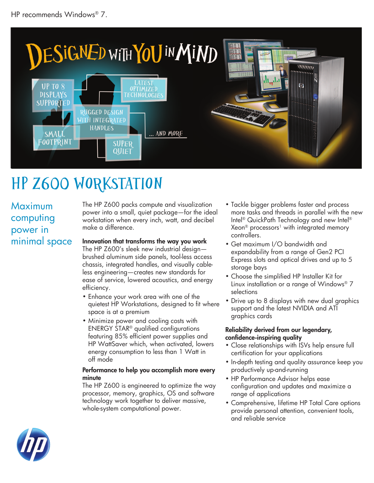

# HP z600 Workstation

Maximum computing power in minimal space The HP Z600 packs compute and visualization power into a small, quiet package—for the ideal workstation when every inch, watt, and decibel make a difference.

### Innovation that transforms the way you work

The HP Z600's sleek new industrial design brushed aluminum side panels, tool-less access chassis, integrated handles, and visually cableless engineering—creates new standards for ease of service, lowered acoustics, and energy efficiency.

- Enhance your work area with one of the quietest HP Workstations, designed to fit where space is at a premium
- Minimize power and cooling costs with ENERGY STAR® qualified configurations featuring 85% efficient power supplies and HP WattSaver which, when activated, lowers energy consumption to less than 1 Watt in off mode

#### Performance to help you accomplish more every minute

The HP Z600 is engineered to optimize the way processor, memory, graphics, OS and software technology work together to deliver massive, whole-system computational power.

- Tackle bigger problems faster and process more tasks and threads in parallel with the new Intel® QuickPath Technology and new Intel® Xeon<sup>®</sup> processors<sup>1</sup> with integrated memory controllers.
- Get maximum I/O bandwidth and expandability from a range of Gen2 PCI Express slots and optical drives and up to 5 storage bays
- Choose the simplified HP Installer Kit for Linux installation or a range of Windows® 7 selections
- Drive up to 8 displays with new dual graphics support and the latest NVIDIA and ATI graphics cards

#### Reliability derived from our legendary, confidence-inspiring quality

- Close relationships with ISVs help ensure full certification for your applications
- In-depth testing and quality assurance keep you productively up-and-running
- HP Performance Advisor helps ease configuration and updates and maximize a range of applications
- Comprehensive, lifetime HP Total Care options provide personal attention, convenient tools, and reliable service